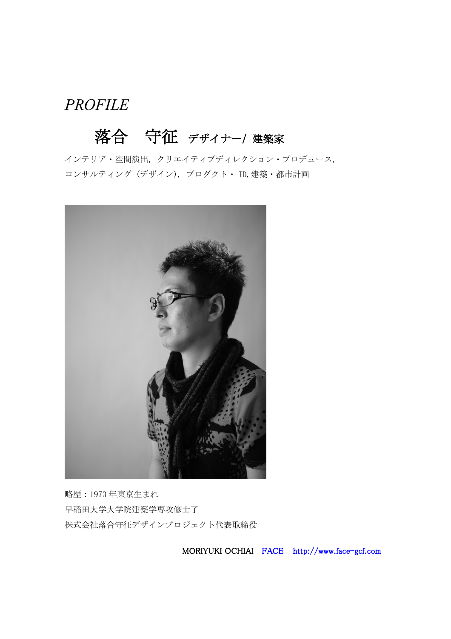### PROFILE

# 落合 守征 デザイナー/ 建築家

[インテリア・空間演出](http://co-lab.jp/creator_list/member_search?job=interior), [クリエイティブディレクション・プロデュース](http://co-lab.jp/creator_list/member_search?job=produce), [コンサルティング](http://co-lab.jp/creator_list/member_search?job=consulting) (デザイン), [プロダクト・](http://co-lab.jp/creator_list/member_search?job=product_design) ID,[建築・都市計画](http://co-lab.jp/creator_list/member_search?job=architecture)



略歴:1973 年東京生まれ 早稲田大学大学院建築学専攻修士了 株式会社落合守征デザインプロジェクト代表取締役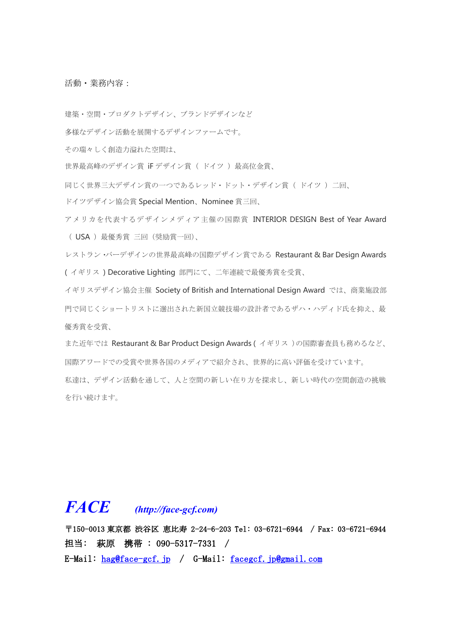活動・業務内容:

建築・空間・プロダクトデザイン、ブランドデザインなど

多様なデザイン活動を展開するデザインファームです。

その瑞々しく創造力溢れた空間は、

世界最高峰のデザイン賞 iF デザイン賞( ドイツ)最高位金賞、

同じく世界三大デザイン賞の一つであるレッド・ドット・デザイン賞(ドイツ)二回、

ドイツデザイン協会賞 Special Mention、Nominee 賞三回、

アメリカを代表するデザインメディア主催の国際賞 INTERIOR DESIGN Bestof Year Award ( USA ) 最優秀賞 三回 (奨励賞一回)、

レストラン・バーデザインの世界最高峰の国際デザイン賞である Restaurant & Bar Design Awards ( イギリス ) Decorative Lighting 部門にて、二年連続で最優秀賞を受賞、

イギリスデザイン協会主催 Society of British and International Design Award では、商業施設部 門で同じくショートリストに選出された新国立競技場の設計者であるザハ・ハディド氏を抑え、最 優秀賞を受賞、

また近年では Restaurant & Bar Product Design Awards ( イギリス)の国際審査員も務めるなど、 国際アワードでの受賞や世界各国のメディアで紹介され、世界的に高い評価を受けています。 私達は、デザイン活動を通して、人と空間の新しい在り方を探求し、新しい時代の空間創造の挑戦 を行い続けます。

## **FACE (http://face-gcf.com)**

〒150-0013 東京都 渋谷区 恵比寿 2-24-6-203 Tel: 03-6721-6944 / Fax: 03-6721-6944 担当: 萩原 携帯 : 090-5317-7331 / E-Mail: [hag@face-gcf.jp](mailto:hag@face-gcf.jp) / G-Mail: [facegcf.jp@gmail.com](mailto:facegcf.jp@gmail.com)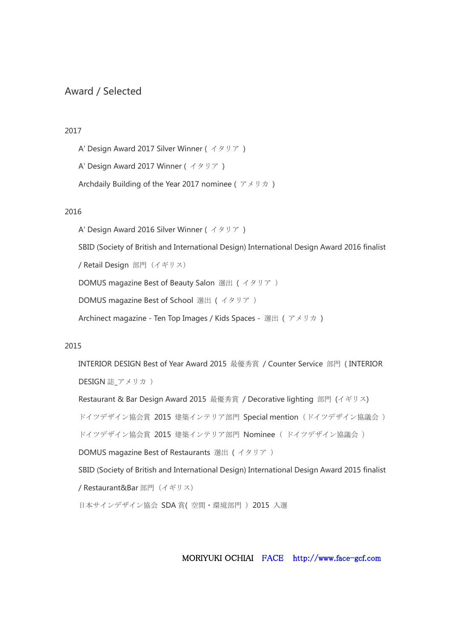### Award / Selected

#### 2017

- A' Design Award 2017 Silver Winner ( イタリア )
- A' Design Award 2017 Winner ( イタリア )
- [Archdaily](http://boty.archdaily.com/us/2017/candidates/105424/waterscape-memory-of-water-moriyuki-ochiai-architects) Building of the Year 2017 nominee ( アメリカ )

#### 2016

- A' Design Award 2016 Silver Winner ( イタリア )
- SBID (Society of British and [International](http://www.internationaldesignexcellenceawards.com/finalist/momom-store/) Design) International Design Award 2016 finalist
- / Retail Design 部門(イギリス)
- DOMUS [magazine](http://www.domusweb.it/content/domusweb/en/news/2016/02/13/best_of_beautysalon.html) Best of Beauty Salon 選出 ( イタリア )
- DOMUS [magazine](http://www.domusweb.it/en/news/2015/12/12/best_of_schools.html) Best of School 選出 ( イタリア )
- Archinect [magazine](http://archinect.com/news/article/149944090/ten-top-images-on-archinect-s-kids-spaces-pinterest-board) Ten Top Images / Kids Spaces 選出 (アメリカ)

#### 2015

- INTERIOR DESIGN Best of Year Award 2015 最優秀賞 / Counter Service 部門 ( [INTERIOR](http://www.interiordesign.net/projects/11332-momom-2015-boy-winner-for-counter-service) DESIGN 誌 アメリカ )
- [Restaurant](http://restaurantandbardesignawards.com/2015/entries/dream-dairy-farm-restaurant) & Bar Design Award 2015 最優秀賞 / Decorative lighting 部門 (イギリス) ドイツデザイン協会賞 2015 建築インテリア部門 Special mention [\(ドイツデザイン協議会](http://gallery.designpreis.de/en/gdagallery/show/Project/dream-dairy-farm-store.html)) [ドイツデザイン協会賞](http://gallery.designpreis.de/en/gdagallery/show/Project/aluminium-flower-garden.html) 2015 建築インテリア部門 Nominee ( ドイツデザイン協議会 )
- DOMUS magazine Best of [Restaurants](http://www.domusweb.it/en/news/2014/11/22/best_of_restaurants.html) 選出 ( イタリア )
- SBID (Society of British and [International](http://internationaldesignexcellenceawards.com/finalist/dream-dairy-farm-restaurant) Design) International Design Award 2015 finalist / Restaurant&Bar 部門(イギリス)
- [日本サインデザイン協会](�� h t t p : / / w w w . s i g n . o r . j p / a b o u t _ s d a / b u s i n e s s / s d a - a w a r d / 2 0 1 5 - 2 /R�^ dQe�x) SDA 賞( 空間・環境部門 )2015 入選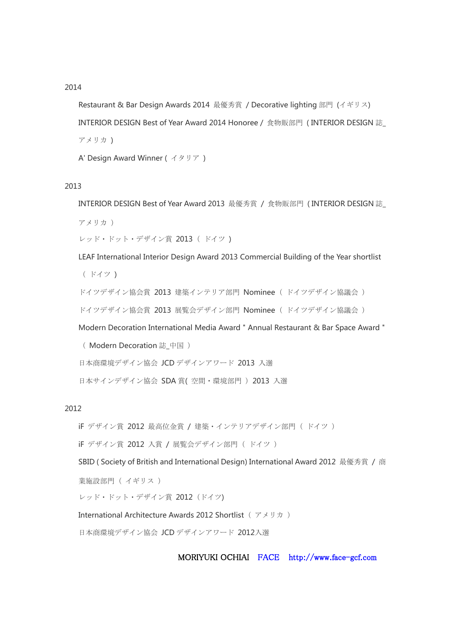#### 2014

[Restaurant](http://restaurantandbardesignawards.com/2014/entries/light-cave) & Bar Design Awards 2014 最優秀賞 / Decorative lighting 部門 (イギリス) INTERIOR DESIGN Best of Year Award 2014 Honoree / [食物販部門](http://www.interiordesign.net/articles/8717-best-of-year-2014-project-winners/) (INTERIOR DESIGN 誌 アメリカ )

A' Design Award Winner ( [イタリア](http://www.adesignaward.com/design.php?ID=33165) )

#### 2013

INTERIOR DESIGN Best of Year Award 2013 最優秀賞 / [食物販部門](http://www.interiordesign.net/projects/9911-2013-boy-winner-fooddrink-retail/) ( INTERIOR DESIGN 誌\_

アメリカ )

```
レッド・ドット・デザイン賞 2013 (ドイツ)
```
LEAF [International](http://www.arena-international.com/leaf/interior-design-awards-2013/2013-shortlist) Interior Design Award 2013 Commercial Building of the Year shortlist

( ドイツ )

```
ドイツデザイン協会賞 2013 建築インテリア部門 Nominee ( ドイツデザイン協議会 )
```
[ドイツデザイン協会賞](http://www.german-design-council.de/en/designpreise/german-design-award/2013/online-ausstellung.html?id=&L==3&mode=Search&compname=moriyuki+ochiai+architects&prodname=&winnergold=&winnersilver=&specialmention=&nominees=&kategorie2id=&Search=Search) 2013 展覧会デザイン部門 Nominee ( ドイツデザイン協議会 )

Modern Decoration [International](http://www.modernde.com/) Media Award " Annual Restaurant & Bar Space Award "

( Modern Decoration 誌\_中国 )

[日本商環境デザイン協会](http://www.jcd.or.jp/designaward_2013/best100.html) JCD デザインアワード 2013 入選

[日本サインデザイン協会](�� h t t p : / / w w w . s i g n . o r . j p / a b o u t _ s d a / b u s i n e s s / s d a - a w a r d / 2 0 1 3 - 2 /R�^ dQe�x) SDA 賞( 空間・環境部門 )2013 入選

#### 2012

iF デザイン賞 2012 最高位金賞 / [建築・インテリアデザイン部門\(](http://ifworlddesignguide.com/entry/86576-arkhe-beauty-salon)ドイツ)

iF デザイン賞 2012 入賞 / 展覧会デザイン部門 ( ドイツ )

SBID ( Society of British and [International](http://www.internationaldesignexcellenceawards.com/past-winners/2012-winners/arkhe-beauty-salon) Design) International Award 2012 最優秀賞 / 商

業施設部門 ( イギリス )

[レッド・ドット・デザイン賞](http://red-dot.de/cd/online-exhibition/work/?code=10-1557&y=2012&c=151&a=0) 2012 (ドイツ)

International Architecture Awards 2012 Shortlist (アメリカ)

[日本商環境デザイン協会](http://www.jcd.or.jp/designaward_2012/best100.html) JCD デザインアワード 2012入選